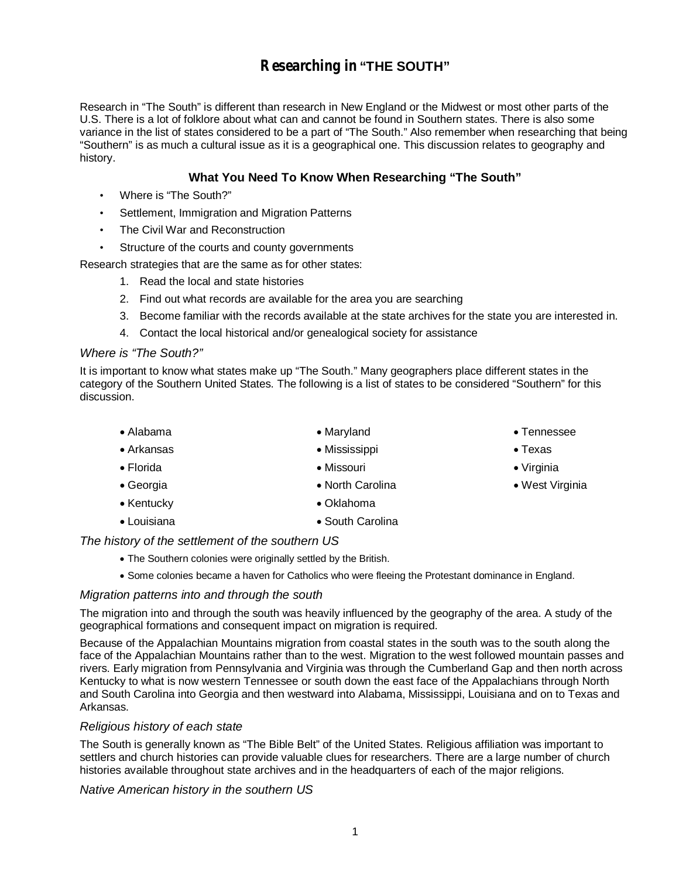# **Researching in "THE SOUTH"**

Research in "The South" is different than research in New England or the Midwest or most other parts of the U.S. There is a lot of folklore about what can and cannot be found in Southern states. There is also some variance in the list of states considered to be a part of "The South." Also remember when researching that being "Southern" is as much a cultural issue as it is a geographical one. This discussion relates to geography and history.

## **What You Need To Know When Researching "The South"**

- Where is "The South?"
- Settlement, Immigration and Migration Patterns
- The Civil War and Reconstruction
- Structure of the courts and county governments

Research strategies that are the same as for other states:

- 1. Read the local and state histories
- 2. Find out what records are available for the area you are searching
- 3. Become familiar with the records available at the state archives for the state you are interested in.
- 4. Contact the local historical and/or genealogical society for assistance

#### *Where is "The South?"*

It is important to know what states make up "The South." Many geographers place different states in the category of the Southern United States. The following is a list of states to be considered "Southern" for this discussion.

- Alabama Arkansas Florida Maryland Mississippi Missouri • North Carolina Tennessee • Texas Virginia
- Georgia
- Kentucky Oklahoma
- Louisiana South Carolina

## *The history of the settlement of the southern US*

- The Southern colonies were originally settled by the British.
- Some colonies became a haven for Catholics who were fleeing the Protestant dominance in England.

## *Migration patterns into and through the south*

The migration into and through the south was heavily influenced by the geography of the area. A study of the geographical formations and consequent impact on migration is required.

Because of the Appalachian Mountains migration from coastal states in the south was to the south along the face of the Appalachian Mountains rather than to the west. Migration to the west followed mountain passes and rivers. Early migration from Pennsylvania and Virginia was through the Cumberland Gap and then north across Kentucky to what is now western Tennessee or south down the east face of the Appalachians through North and South Carolina into Georgia and then westward into Alabama, Mississippi, Louisiana and on to Texas and Arkansas.

## *Religious history of each state*

The South is generally known as "The Bible Belt" of the United States. Religious affiliation was important to settlers and church histories can provide valuable clues for researchers. There are a large number of church histories available throughout state archives and in the headquarters of each of the major religions.

*Native American history in the southern US*

West Virginia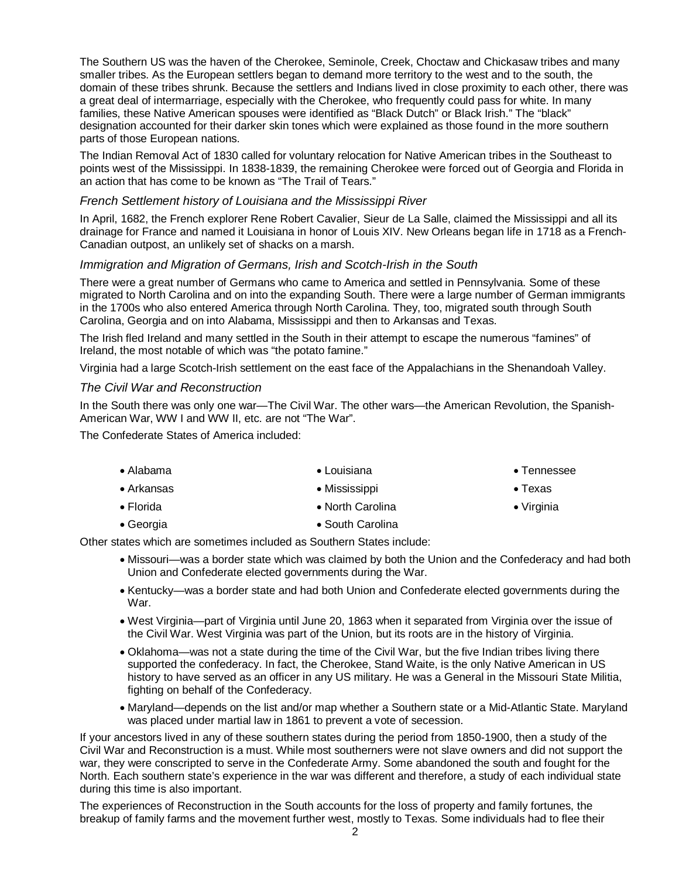The Southern US was the haven of the Cherokee, Seminole, Creek, Choctaw and Chickasaw tribes and many smaller tribes. As the European settlers began to demand more territory to the west and to the south, the domain of these tribes shrunk. Because the settlers and Indians lived in close proximity to each other, there was a great deal of intermarriage, especially with the Cherokee, who frequently could pass for white. In many families, these Native American spouses were identified as "Black Dutch" or Black Irish." The "black" designation accounted for their darker skin tones which were explained as those found in the more southern parts of those European nations.

The Indian Removal Act of 1830 called for voluntary relocation for Native American tribes in the Southeast to points west of the Mississippi. In 1838-1839, the remaining Cherokee were forced out of Georgia and Florida in an action that has come to be known as "The Trail of Tears."

#### *French Settlement history of Louisiana and the Mississippi River*

In April, 1682, the French explorer Rene Robert Cavalier, Sieur de La Salle, claimed the Mississippi and all its drainage for France and named it Louisiana in honor of Louis XIV. New Orleans began life in 1718 as a French-Canadian outpost, an unlikely set of shacks on a marsh.

#### *Immigration and Migration of Germans, Irish and Scotch-Irish in the South*

There were a great number of Germans who came to America and settled in Pennsylvania. Some of these migrated to North Carolina and on into the expanding South. There were a large number of German immigrants in the 1700s who also entered America through North Carolina. They, too, migrated south through South Carolina, Georgia and on into Alabama, Mississippi and then to Arkansas and Texas.

The Irish fled Ireland and many settled in the South in their attempt to escape the numerous "famines" of Ireland, the most notable of which was "the potato famine."

Virginia had a large Scotch-Irish settlement on the east face of the Appalachians in the Shenandoah Valley.

#### *The Civil War and Reconstruction*

In the South there was only one war—The Civil War. The other wars—the American Revolution, the Spanish-American War, WW I and WW II, etc. are not "The War".

The Confederate States of America included:

| $\bullet$ Alabama  | $\bullet$ Louisiana | $\bullet$ Tennessee |
|--------------------|---------------------|---------------------|
| $\bullet$ Arkansas | • Mississippi       | $\bullet$ Texas     |
| $\bullet$ Florida  | • North Carolina    | $\bullet$ Virginia  |
| $\bullet$ Georgia  | • South Carolina    |                     |

Other states which are sometimes included as Southern States include:

- Missouri—was a border state which was claimed by both the Union and the Confederacy and had both Union and Confederate elected governments during the War.
- Kentucky—was a border state and had both Union and Confederate elected governments during the War.
- West Virginia—part of Virginia until June 20, 1863 when it separated from Virginia over the issue of the Civil War. West Virginia was part of the Union, but its roots are in the history of Virginia.
- Oklahoma—was not a state during the time of the Civil War, but the five Indian tribes living there supported the confederacy. In fact, the Cherokee, Stand Waite, is the only Native American in US history to have served as an officer in any US military. He was a General in the Missouri State Militia, fighting on behalf of the Confederacy.
- Maryland—depends on the list and/or map whether a Southern state or a Mid-Atlantic State. Maryland was placed under martial law in 1861 to prevent a vote of secession.

If your ancestors lived in any of these southern states during the period from 1850-1900, then a study of the Civil War and Reconstruction is a must. While most southerners were not slave owners and did not support the war, they were conscripted to serve in the Confederate Army. Some abandoned the south and fought for the North. Each southern state's experience in the war was different and therefore, a study of each individual state during this time is also important.

The experiences of Reconstruction in the South accounts for the loss of property and family fortunes, the breakup of family farms and the movement further west, mostly to Texas. Some individuals had to flee their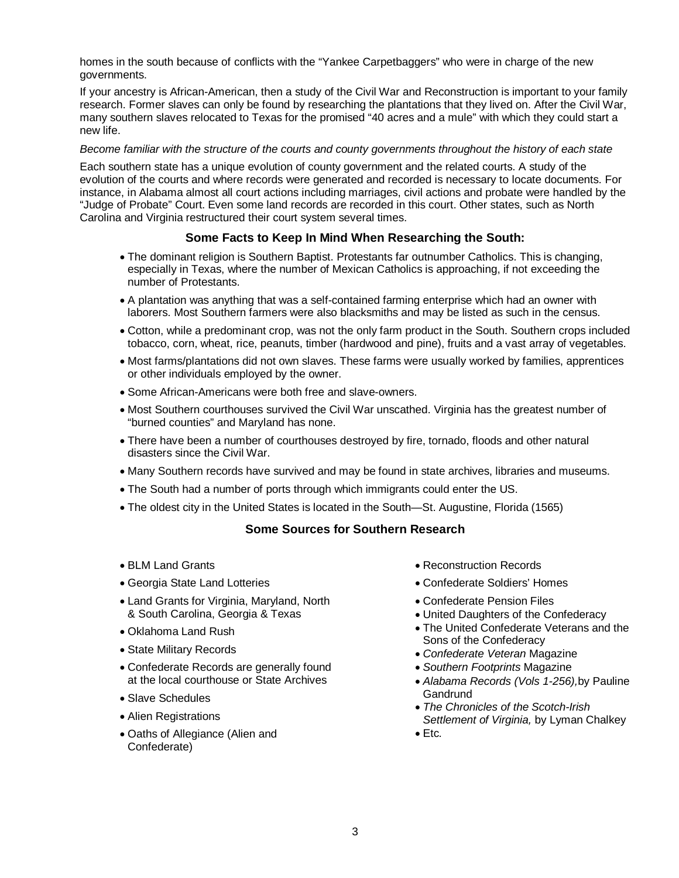homes in the south because of conflicts with the "Yankee Carpetbaggers" who were in charge of the new governments.

If your ancestry is African-American, then a study of the Civil War and Reconstruction is important to your family research. Former slaves can only be found by researching the plantations that they lived on. After the Civil War, many southern slaves relocated to Texas for the promised "40 acres and a mule" with which they could start a new life.

#### *Become familiar with the structure of the courts and county governments throughout the history of each state*

Each southern state has a unique evolution of county government and the related courts. A study of the evolution of the courts and where records were generated and recorded is necessary to locate documents. For instance, in Alabama almost all court actions including marriages, civil actions and probate were handled by the "Judge of Probate" Court. Even some land records are recorded in this court. Other states, such as North Carolina and Virginia restructured their court system several times.

## **Some Facts to Keep In Mind When Researching the South:**

- The dominant religion is Southern Baptist. Protestants far outnumber Catholics. This is changing, especially in Texas, where the number of Mexican Catholics is approaching, if not exceeding the number of Protestants.
- A plantation was anything that was a self-contained farming enterprise which had an owner with laborers. Most Southern farmers were also blacksmiths and may be listed as such in the census.
- Cotton, while a predominant crop, was not the only farm product in the South. Southern crops included tobacco, corn, wheat, rice, peanuts, timber (hardwood and pine), fruits and a vast array of vegetables.
- Most farms/plantations did not own slaves. These farms were usually worked by families, apprentices or other individuals employed by the owner.
- Some African-Americans were both free and slave-owners.
- Most Southern courthouses survived the Civil War unscathed. Virginia has the greatest number of "burned counties" and Maryland has none.
- There have been a number of courthouses destroyed by fire, tornado, floods and other natural disasters since the Civil War.
- Many Southern records have survived and may be found in state archives, libraries and museums.
- The South had a number of ports through which immigrants could enter the US.
- The oldest city in the United States is located in the South—St. Augustine, Florida (1565)

## **Some Sources for Southern Research**

- BLM Land Grants
- Georgia State Land Lotteries
- Land Grants for Virginia, Maryland, North & South Carolina, Georgia & Texas
- Oklahoma Land Rush
- State Military Records
- Confederate Records are generally found at the local courthouse or State Archives
- Slave Schedules
- Alien Registrations
- Oaths of Allegiance (Alien and Confederate)
- Reconstruction Records
- Confederate Soldiers' Homes
- Confederate Pension Files
- United Daughters of the Confederacy
- The United Confederate Veterans and the Sons of the Confederacy
- *Confederate Veteran* Magazine
- *Southern Footprints* Magazine
- *Alabama Records (Vols 1-256),*by Pauline Gandrund
- *The Chronicles of the Scotch-Irish Settlement of Virginia,* by Lyman Chalkey
- Etc*.*